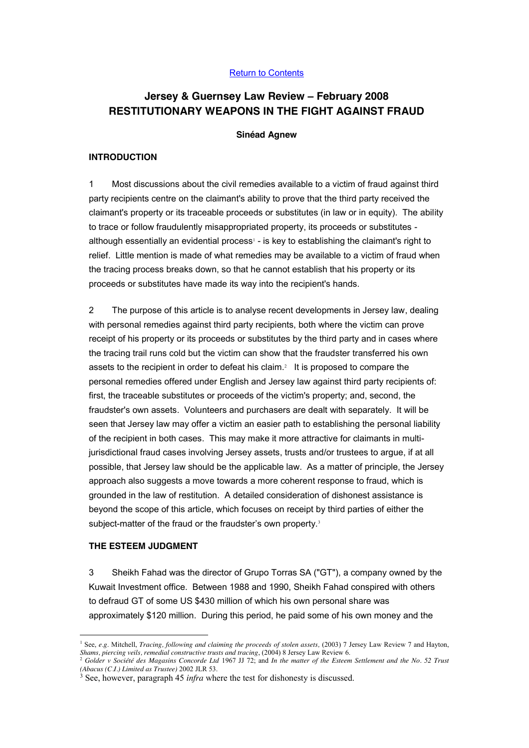## Return to Contents

# **Jersey & Guernsey Law Review – February 2008 RESTITUTIONARY WEAPONS IN THE FIGHT AGAINST FRAUD**

#### **Sinéad Agnew**

#### **INTRODUCTION**

1 Most discussions about the civil remedies available to a victim of fraud against third party recipients centre on the claimant's ability to prove that the third party received the claimant's property or its traceable proceeds or substitutes (in law or in equity). The ability to trace or follow fraudulently misappropriated property, its proceeds or substitutes although essentially an evidential process<sup>1</sup> - is key to establishing the claimant's right to relief. Little mention is made of what remedies may be available to a victim of fraud when the tracing process breaks down, so that he cannot establish that his property or its proceeds or substitutes have made its way into the recipient's hands.

2 The purpose of this article is to analyse recent developments in Jersey law, dealing with personal remedies against third party recipients, both where the victim can prove receipt of his property or its proceeds or substitutes by the third party and in cases where the tracing trail runs cold but the victim can show that the fraudster transferred his own assets to the recipient in order to defeat his claim.<sup>2</sup> It is proposed to compare the personal remedies offered under English and Jersey law against third party recipients of: first, the traceable substitutes or proceeds of the victim's property; and, second, the fraudster's own assets. Volunteers and purchasers are dealt with separately. It will be seen that Jersey law may offer a victim an easier path to establishing the personal liability of the recipient in both cases. This may make it more attractive for claimants in multijurisdictional fraud cases involving Jersey assets, trusts and/or trustees to argue, if at all possible, that Jersey law should be the applicable law. As a matter of principle, the Jersey approach also suggests a move towards a more coherent response to fraud, which is grounded in the law of restitution. A detailed consideration of dishonest assistance is beyond the scope of this article, which focuses on receipt by third parties of either the subject-matter of the fraud or the fraudster's own property.<sup>3</sup>

#### **THE ESTEEM JUDGMENT**

3 Sheikh Fahad was the director of Grupo Torras SA ("GT"), a company owned by the Kuwait Investment office. Between 1988 and 1990, Sheikh Fahad conspired with others to defraud GT of some US \$430 million of which his own personal share was approximately \$120 million. During this period, he paid some of his own money and the

<sup>&</sup>lt;sup>1</sup> See, *e.g.* Mitchell, *Tracing, following and claiming the proceeds of stolen assets,* (2003) 7 Jersey Law Review 7 and Hayton, *Shams, piercing veils, remedial constructive trusts and tracing*, (2004) 8 Jersey Law Review 6.

<sup>2</sup> *Golder v Société des Magasins Concorde Ltd* 1967 JJ 72; and *In the matter of the Esteem Settlement and the No. 52 Trust (Abacus (C.I.) Limited as Trustee)* 2002 JLR 53.

<sup>3</sup> See, however, paragraph 45 *infra* where the test for dishonesty is discussed.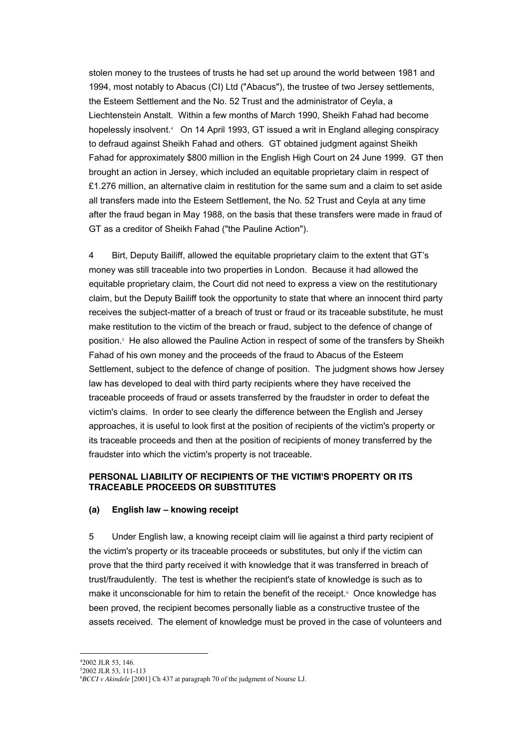stolen money to the trustees of trusts he had set up around the world between 1981 and 1994, most notably to Abacus (CI) Ltd ("Abacus"), the trustee of two Jersey settlements, the Esteem Settlement and the No. 52 Trust and the administrator of Ceyla, a Liechtenstein Anstalt. Within a few months of March 1990, Sheikh Fahad had become hopelessly insolvent.<sup>4</sup> On 14 April 1993, GT issued a writ in England alleging conspiracy to defraud against Sheikh Fahad and others. GT obtained judgment against Sheikh Fahad for approximately \$800 million in the English High Court on 24 June 1999. GT then brought an action in Jersey, which included an equitable proprietary claim in respect of £1.276 million, an alternative claim in restitution for the same sum and a claim to set aside all transfers made into the Esteem Settlement, the No. 52 Trust and Ceyla at any time after the fraud began in May 1988, on the basis that these transfers were made in fraud of GT as a creditor of Sheikh Fahad ("the Pauline Action").

4 Birt, Deputy Bailiff, allowed the equitable proprietary claim to the extent that GT's money was still traceable into two properties in London. Because it had allowed the equitable proprietary claim, the Court did not need to express a view on the restitutionary claim, but the Deputy Bailiff took the opportunity to state that where an innocent third party receives the subject-matter of a breach of trust or fraud or its traceable substitute, he must make restitution to the victim of the breach or fraud, subject to the defence of change of position.<sup>5</sup> He also allowed the Pauline Action in respect of some of the transfers by Sheikh Fahad of his own money and the proceeds of the fraud to Abacus of the Esteem Settlement, subject to the defence of change of position. The judgment shows how Jersey law has developed to deal with third party recipients where they have received the traceable proceeds of fraud or assets transferred by the fraudster in order to defeat the victim's claims. In order to see clearly the difference between the English and Jersey approaches, it is useful to look first at the position of recipients of the victim's property or its traceable proceeds and then at the position of recipients of money transferred by the fraudster into which the victim's property is not traceable.

# **PERSONAL LIABILITY OF RECIPIENTS OF THE VICTIM'S PROPERTY OR ITS TRACEABLE PROCEEDS OR SUBSTITUTES**

## **(a) English law – knowing receipt**

5 Under English law, a knowing receipt claim will lie against a third party recipient of the victim's property or its traceable proceeds or substitutes, but only if the victim can prove that the third party received it with knowledge that it was transferred in breach of trust/fraudulently. The test is whether the recipient's state of knowledge is such as to make it unconscionable for him to retain the benefit of the receipt.<sup>6</sup> Once knowledge has been proved, the recipient becomes personally liable as a constructive trustee of the assets received. The element of knowledge must be proved in the case of volunteers and

 $\frac{1}{4}$ 2002 JLR 53, 146.

<sup>5</sup> 2002 JLR 53, 111-113

<sup>6</sup> *BCCI v Akindele* [2001] Ch 437 at paragraph 70 of the judgment of Nourse LJ.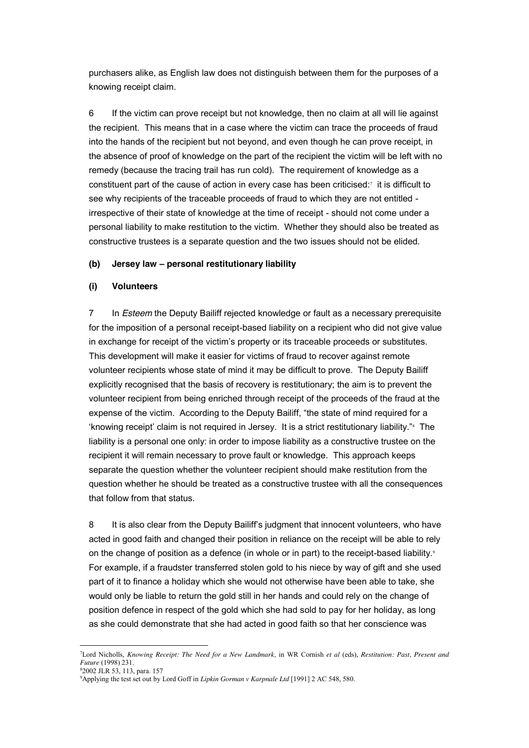purchasers alike, as English law does not distinguish between them for the purposes of a knowing receipt claim.

6 If the victim can prove receipt but not knowledge, then no claim at all will lie against the recipient. This means that in a case where the victim can trace the proceeds of fraud into the hands of the recipient but not beyond, and even though he can prove receipt, in the absence of proof of knowledge on the part of the recipient the victim will be left with no remedy (because the tracing trail has run cold). The requirement of knowledge as a constituent part of the cause of action in every case has been criticised: $\tau$  it is difficult to see why recipients of the traceable proceeds of fraud to which they are not entitled irrespective of their state of knowledge at the time of receipt - should not come under a personal liability to make restitution to the victim. Whether they should also be treated as constructive trustees is a separate question and the two issues should not be elided.

## **(b) Jersey law – personal restitutionary liability**

## **(i) Volunteers**

7 In *Esteem* the Deputy Bailiff rejected knowledge or fault as a necessary prerequisite for the imposition of a personal receipt-based liability on a recipient who did not give value in exchange for receipt of the victim's property or its traceable proceeds or substitutes. This development will make it easier for victims of fraud to recover against remote volunteer recipients whose state of mind it may be difficult to prove. The Deputy Bailiff explicitly recognised that the basis of recovery is restitutionary; the aim is to prevent the volunteer recipient from being enriched through receipt of the proceeds of the fraud at the expense of the victim. According to the Deputy Bailiff, "the state of mind required for a 'knowing receipt' claim is not required in Jersey. It is a strict restitutionary liability."<sup>8</sup> The liability is a personal one only: in order to impose liability as a constructive trustee on the recipient it will remain necessary to prove fault or knowledge. This approach keeps separate the question whether the volunteer recipient should make restitution from the question whether he should be treated as a constructive trustee with all the consequences that follow from that status.

8 It is also clear from the Deputy Bailiff's judgment that innocent volunteers, who have acted in good faith and changed their position in reliance on the receipt will be able to rely on the change of position as a defence (in whole or in part) to the receipt-based liability. $9$ For example, if a fraudster transferred stolen gold to his niece by way of gift and she used part of it to finance a holiday which she would not otherwise have been able to take, she would only be liable to return the gold still in her hands and could rely on the change of position defence in respect of the gold which she had sold to pay for her holiday, as long as she could demonstrate that she had acted in good faith so that her conscience was

 $\frac{1}{7}$ Lord Nicholls, *Knowing Receipt: The Need for a New Landmark,* in WR Cornish *et al* (eds), *Restitution: Past, Present and Future* (1998) 231.

<sup>8</sup> 2002 JLR 53, 113, para. 157

<sup>9</sup> Applying the test set out by Lord Goff in *Lipkin Gorman v Karpnale Ltd* [1991] 2 AC 548, 580.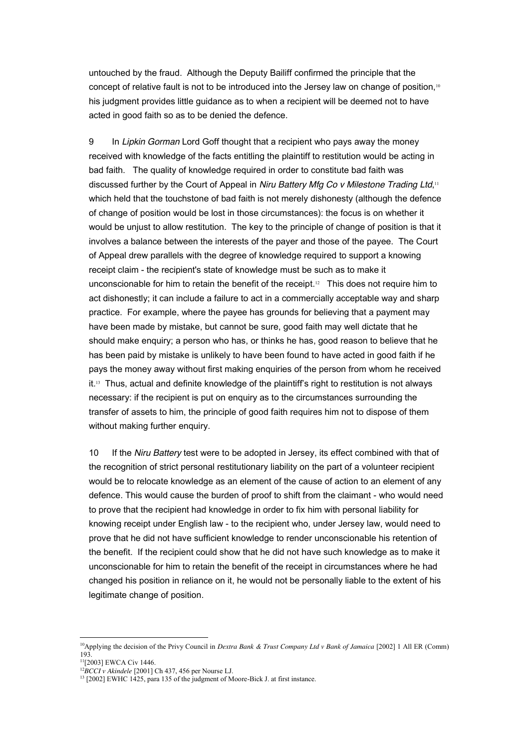untouched by the fraud. Although the Deputy Bailiff confirmed the principle that the concept of relative fault is not to be introduced into the Jersey law on change of position,<sup>10</sup> his judgment provides little guidance as to when a recipient will be deemed not to have acted in good faith so as to be denied the defence.

9 In *Lipkin Gorman* Lord Goff thought that a recipient who pays away the money received with knowledge of the facts entitling the plaintiff to restitution would be acting in bad faith. The quality of knowledge required in order to constitute bad faith was discussed further by the Court of Appeal in *Niru Battery Mfg Co v Milestone Trading Ltd*, 11 which held that the touchstone of bad faith is not merely dishonesty (although the defence of change of position would be lost in those circumstances): the focus is on whether it would be unjust to allow restitution. The key to the principle of change of position is that it involves a balance between the interests of the payer and those of the payee. The Court of Appeal drew parallels with the degree of knowledge required to support a knowing receipt claim - the recipient's state of knowledge must be such as to make it unconscionable for him to retain the benefit of the receipt.12 This does not require him to act dishonestly; it can include a failure to act in a commercially acceptable way and sharp practice. For example, where the payee has grounds for believing that a payment may have been made by mistake, but cannot be sure, good faith may well dictate that he should make enquiry; a person who has, or thinks he has, good reason to believe that he has been paid by mistake is unlikely to have been found to have acted in good faith if he pays the money away without first making enquiries of the person from whom he received it.<sup>13</sup> Thus, actual and definite knowledge of the plaintiff's right to restitution is not always necessary: if the recipient is put on enquiry as to the circumstances surrounding the transfer of assets to him, the principle of good faith requires him not to dispose of them without making further enquiry.

10 If the *Niru Battery* test were to be adopted in Jersey, its effect combined with that of the recognition of strict personal restitutionary liability on the part of a volunteer recipient would be to relocate knowledge as an element of the cause of action to an element of any defence. This would cause the burden of proof to shift from the claimant - who would need to prove that the recipient had knowledge in order to fix him with personal liability for knowing receipt under English law - to the recipient who, under Jersey law, would need to prove that he did not have sufficient knowledge to render unconscionable his retention of the benefit. If the recipient could show that he did not have such knowledge as to make it unconscionable for him to retain the benefit of the receipt in circumstances where he had changed his position in reliance on it, he would not be personally liable to the extent of his legitimate change of position.

<sup>&</sup>lt;sup>10</sup>Applying the decision of the Privy Council in *Dextra Bank & Trust Company Ltd v Bank of Jamaica* [2002] 1 All ER (Comm) 193.

<sup>11[2003]</sup> EWCA Civ 1446.

<sup>12</sup>*BCCI v Akindele* [2001] Ch 437, 456 per Nourse LJ.

 $13$  [2002] EWHC 1425, para 135 of the judgment of Moore-Bick J, at first instance.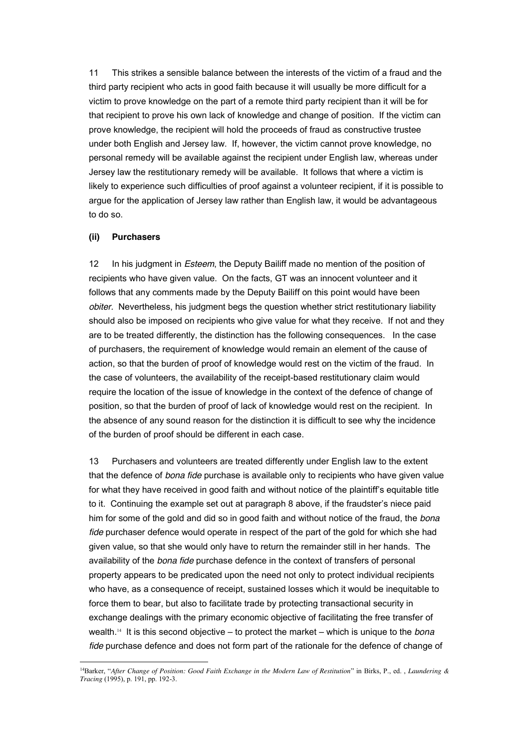11 This strikes a sensible balance between the interests of the victim of a fraud and the third party recipient who acts in good faith because it will usually be more difficult for a victim to prove knowledge on the part of a remote third party recipient than it will be for that recipient to prove his own lack of knowledge and change of position. If the victim can prove knowledge, the recipient will hold the proceeds of fraud as constructive trustee under both English and Jersey law. If, however, the victim cannot prove knowledge, no personal remedy will be available against the recipient under English law, whereas under Jersey law the restitutionary remedy will be available. It follows that where a victim is likely to experience such difficulties of proof against a volunteer recipient, if it is possible to argue for the application of Jersey law rather than English law, it would be advantageous to do so.

## **(ii) Purchasers**

12 In his judgment in *Esteem*, the Deputy Bailiff made no mention of the position of recipients who have given value. On the facts, GT was an innocent volunteer and it follows that any comments made by the Deputy Bailiff on this point would have been *obiter.* Nevertheless, his judgment begs the question whether strict restitutionary liability should also be imposed on recipients who give value for what they receive. If not and they are to be treated differently, the distinction has the following consequences. In the case of purchasers, the requirement of knowledge would remain an element of the cause of action, so that the burden of proof of knowledge would rest on the victim of the fraud. In the case of volunteers, the availability of the receipt-based restitutionary claim would require the location of the issue of knowledge in the context of the defence of change of position, so that the burden of proof of lack of knowledge would rest on the recipient. In the absence of any sound reason for the distinction it is difficult to see why the incidence of the burden of proof should be different in each case.

13 Purchasers and volunteers are treated differently under English law to the extent that the defence of *bona fide* purchase is available only to recipients who have given value for what they have received in good faith and without notice of the plaintiff's equitable title to it. Continuing the example set out at paragraph 8 above, if the fraudster's niece paid him for some of the gold and did so in good faith and without notice of the fraud, the *bona fide* purchaser defence would operate in respect of the part of the gold for which she had given value, so that she would only have to return the remainder still in her hands. The availability of the *bona fide* purchase defence in the context of transfers of personal property appears to be predicated upon the need not only to protect individual recipients who have, as a consequence of receipt, sustained losses which it would be inequitable to force them to bear, but also to facilitate trade by protecting transactional security in exchange dealings with the primary economic objective of facilitating the free transfer of wealth.14 It is this second objective – to protect the market – which is unique to the *bona fide* purchase defence and does not form part of the rationale for the defence of change of

 <sup>14</sup>Barker, "*After Change of Position: Good Faith Exchange in the Modern Law of Restitution*" in Birks, P., ed. , *Laundering & Tracing* (1995), p. 191, pp. 192-3.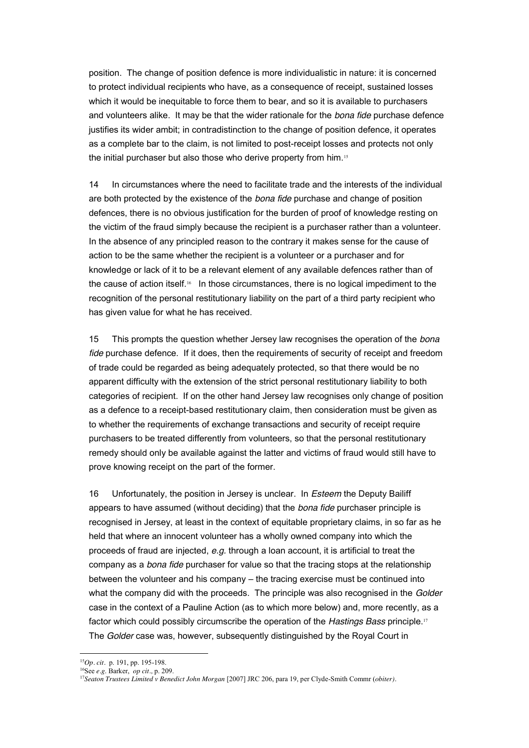position. The change of position defence is more individualistic in nature: it is concerned to protect individual recipients who have, as a consequence of receipt, sustained losses which it would be inequitable to force them to bear, and so it is available to purchasers and volunteers alike. It may be that the wider rationale for the *bona fide* purchase defence justifies its wider ambit; in contradistinction to the change of position defence, it operates as a complete bar to the claim, is not limited to post-receipt losses and protects not only the initial purchaser but also those who derive property from him.<sup>15</sup>

14 In circumstances where the need to facilitate trade and the interests of the individual are both protected by the existence of the *bona fide* purchase and change of position defences, there is no obvious justification for the burden of proof of knowledge resting on the victim of the fraud simply because the recipient is a purchaser rather than a volunteer. In the absence of any principled reason to the contrary it makes sense for the cause of action to be the same whether the recipient is a volunteer or a purchaser and for knowledge or lack of it to be a relevant element of any available defences rather than of the cause of action itself.16 In those circumstances, there is no logical impediment to the recognition of the personal restitutionary liability on the part of a third party recipient who has given value for what he has received.

15 This prompts the question whether Jersey law recognises the operation of the *bona fide* purchase defence. If it does, then the requirements of security of receipt and freedom of trade could be regarded as being adequately protected, so that there would be no apparent difficulty with the extension of the strict personal restitutionary liability to both categories of recipient. If on the other hand Jersey law recognises only change of position as a defence to a receipt-based restitutionary claim, then consideration must be given as to whether the requirements of exchange transactions and security of receipt require purchasers to be treated differently from volunteers, so that the personal restitutionary remedy should only be available against the latter and victims of fraud would still have to prove knowing receipt on the part of the former.

16 Unfortunately, the position in Jersey is unclear. In *Esteem* the Deputy Bailiff appears to have assumed (without deciding) that the *bona fide* purchaser principle is recognised in Jersey, at least in the context of equitable proprietary claims, in so far as he held that where an innocent volunteer has a wholly owned company into which the proceeds of fraud are injected, *e.g.* through a loan account, it is artificial to treat the company as a *bona fide* purchaser for value so that the tracing stops at the relationship between the volunteer and his company – the tracing exercise must be continued into what the company did with the proceeds. The principle was also recognised in the *Golder*  case in the context of a Pauline Action (as to which more below) and, more recently, as a factor which could possibly circumscribe the operation of the *Hastings Bass* principle.<sup>17</sup> The *Golder* case was, however, subsequently distinguished by the Royal Court in

 <sup>15</sup>*Op. cit.* p. 191, pp. 195-198.

<sup>16</sup>See *e.g*. Barker, *op cit.,* p. 209.

<sup>&</sup>lt;sup>17</sup>Seaton Trustees Limited v Benedict John Morgan <sup>[2007]</sup> JRC 206, para 19, per Clyde-Smith Commr (*obiter*).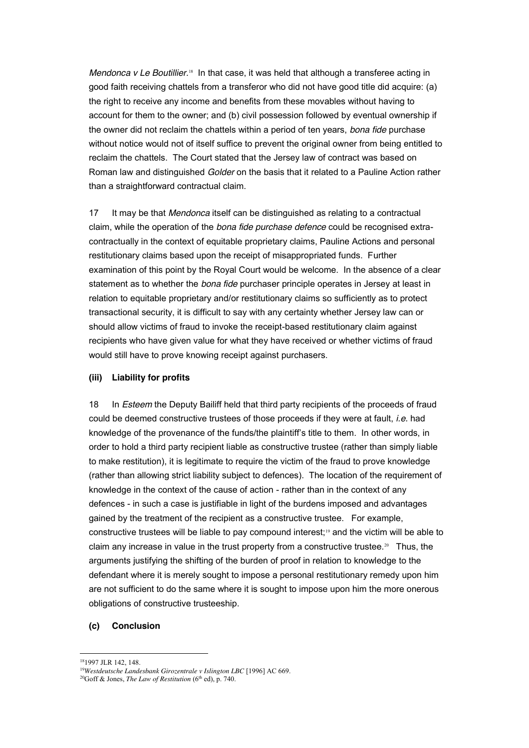*Mendonca v Le Boutillier.*<sup>18</sup> In that case, it was held that although a transferee acting in good faith receiving chattels from a transferor who did not have good title did acquire: (a) the right to receive any income and benefits from these movables without having to account for them to the owner; and (b) civil possession followed by eventual ownership if the owner did not reclaim the chattels within a period of ten years, *bona fide* purchase without notice would not of itself suffice to prevent the original owner from being entitled to reclaim the chattels. The Court stated that the Jersey law of contract was based on Roman law and distinguished *Golder* on the basis that it related to a Pauline Action rather than a straightforward contractual claim.

17 It may be that *Mendonca* itself can be distinguished as relating to a contractual claim, while the operation of the *bona fide purchase defence* could be recognised extracontractually in the context of equitable proprietary claims, Pauline Actions and personal restitutionary claims based upon the receipt of misappropriated funds. Further examination of this point by the Royal Court would be welcome. In the absence of a clear statement as to whether the *bona fide* purchaser principle operates in Jersey at least in relation to equitable proprietary and/or restitutionary claims so sufficiently as to protect transactional security, it is difficult to say with any certainty whether Jersey law can or should allow victims of fraud to invoke the receipt-based restitutionary claim against recipients who have given value for what they have received or whether victims of fraud would still have to prove knowing receipt against purchasers.

## **(iii) Liability for profits**

18 In *Esteem* the Deputy Bailiff held that third party recipients of the proceeds of fraud could be deemed constructive trustees of those proceeds if they were at fault, *i.e.* had knowledge of the provenance of the funds/the plaintiff's title to them. In other words, in order to hold a third party recipient liable as constructive trustee (rather than simply liable to make restitution), it is legitimate to require the victim of the fraud to prove knowledge (rather than allowing strict liability subject to defences). The location of the requirement of knowledge in the context of the cause of action - rather than in the context of any defences - in such a case is justifiable in light of the burdens imposed and advantages gained by the treatment of the recipient as a constructive trustee. For example, constructive trustees will be liable to pay compound interest;<sup>19</sup> and the victim will be able to claim any increase in value in the trust property from a constructive trustee. $20$  Thus, the arguments justifying the shifting of the burden of proof in relation to knowledge to the defendant where it is merely sought to impose a personal restitutionary remedy upon him are not sufficient to do the same where it is sought to impose upon him the more onerous obligations of constructive trusteeship.

## **(c) Conclusion**

 <sup>181997</sup> JLR 142, 148.

<sup>19</sup>*Westdeutsche Landesbank Girozentrale v Islington LBC* [1996] AC 669.

<sup>&</sup>lt;sup>20</sup>Goff & Jones, *The Law of Restitution*  $(6<sup>th</sup>$  ed), p. 740.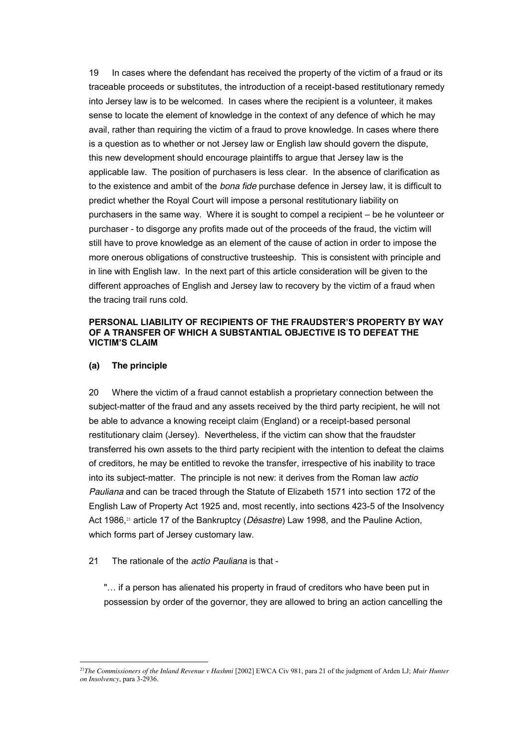19 In cases where the defendant has received the property of the victim of a fraud or its traceable proceeds or substitutes, the introduction of a receipt-based restitutionary remedy into Jersey law is to be welcomed. In cases where the recipient is a volunteer, it makes sense to locate the element of knowledge in the context of any defence of which he may avail, rather than requiring the victim of a fraud to prove knowledge. In cases where there is a question as to whether or not Jersey law or English law should govern the dispute, this new development should encourage plaintiffs to argue that Jersey law is the applicable law. The position of purchasers is less clear. In the absence of clarification as to the existence and ambit of the *bona fide* purchase defence in Jersey law, it is difficult to predict whether the Royal Court will impose a personal restitutionary liability on purchasers in the same way. Where it is sought to compel a recipient – be he volunteer or purchaser - to disgorge any profits made out of the proceeds of the fraud, the victim will still have to prove knowledge as an element of the cause of action in order to impose the more onerous obligations of constructive trusteeship. This is consistent with principle and in line with English law. In the next part of this article consideration will be given to the different approaches of English and Jersey law to recovery by the victim of a fraud when the tracing trail runs cold.

## **PERSONAL LIABILITY OF RECIPIENTS OF THE FRAUDSTER'S PROPERTY BY WAY OF A TRANSFER OF WHICH A SUBSTANTIAL OBJECTIVE IS TO DEFEAT THE VICTIM'S CLAIM**

## **(a) The principle**

20 Where the victim of a fraud cannot establish a proprietary connection between the subject-matter of the fraud and any assets received by the third party recipient, he will not be able to advance a knowing receipt claim (England) or a receipt-based personal restitutionary claim (Jersey). Nevertheless, if the victim can show that the fraudster transferred his own assets to the third party recipient with the intention to defeat the claims of creditors, he may be entitled to revoke the transfer, irrespective of his inability to trace into its subject-matter. The principle is not new: it derives from the Roman law *actio Pauliana* and can be traced through the Statute of Elizabeth 1571 into section 172 of the English Law of Property Act 1925 and, most recently, into sections 423-5 of the Insolvency Act 1986,<sup>21</sup> article 17 of the Bankruptcy (*Désastre*) Law 1998, and the Pauline Action, which forms part of Jersey customary law.

## 21 The rationale of the *actio Pauliana* is that -

"... if a person has alienated his property in fraud of creditors who have been put in possession by order of the governor, they are allowed to bring an action cancelling the

<sup>&</sup>lt;sup>21</sup>The Commissioners of the Inland Revenue v Hashmi [2002] EWCA Civ 981, para 21 of the judgment of Arden LJ; *Muir Hunter on Insolvency*, para 3-2936.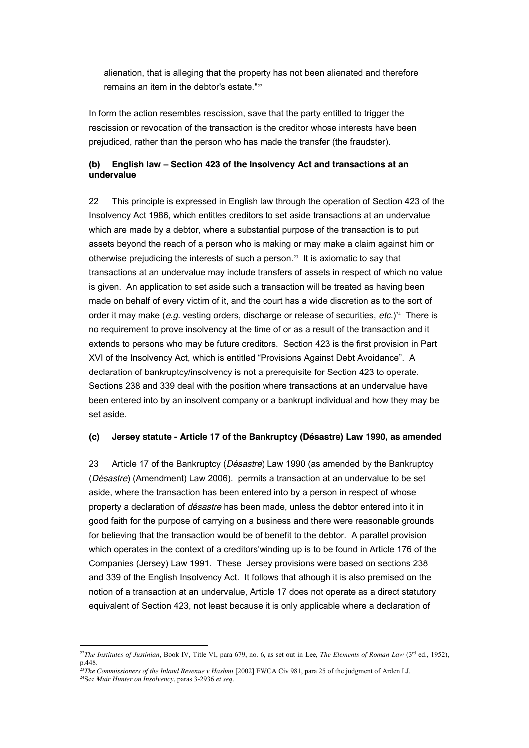alienation, that is alleging that the property has not been alienated and therefore remains an item in the debtor's estate."<sup>22</sup>

In form the action resembles rescission, save that the party entitled to trigger the rescission or revocation of the transaction is the creditor whose interests have been prejudiced, rather than the person who has made the transfer (the fraudster).

# **(b) English law – Section 423 of the Insolvency Act and transactions at an undervalue**

22 This principle is expressed in English law through the operation of Section 423 of the Insolvency Act 1986, which entitles creditors to set aside transactions at an undervalue which are made by a debtor, where a substantial purpose of the transaction is to put assets beyond the reach of a person who is making or may make a claim against him or otherwise prejudicing the interests of such a person.23 It is axiomatic to say that transactions at an undervalue may include transfers of assets in respect of which no value is given. An application to set aside such a transaction will be treated as having been made on behalf of every victim of it, and the court has a wide discretion as to the sort of order it may make (*e.g.* vesting orders, discharge or release of securities, *etc.*)<sup>24</sup> There is no requirement to prove insolvency at the time of or as a result of the transaction and it extends to persons who may be future creditors. Section 423 is the first provision in Part XVI of the Insolvency Act, which is entitled "Provisions Against Debt Avoidance". A declaration of bankruptcy/insolvency is not a prerequisite for Section 423 to operate. Sections 238 and 339 deal with the position where transactions at an undervalue have been entered into by an insolvent company or a bankrupt individual and how they may be set aside.

## **(c) Jersey statute - Article 17 of the Bankruptcy (Désastre) Law 1990, as amended**

23 Article 17 of the Bankruptcy (*Désastre*) Law 1990 (as amended by the Bankruptcy (*Désastre*) (Amendment) Law 2006). permits a transaction at an undervalue to be set aside, where the transaction has been entered into by a person in respect of whose property a declaration of *désastre* has been made, unless the debtor entered into it in good faith for the purpose of carrying on a business and there were reasonable grounds for believing that the transaction would be of benefit to the debtor. A parallel provision which operates in the context of a creditors'winding up is to be found in Article 176 of the Companies (Jersey) Law 1991. These Jersey provisions were based on sections 238 and 339 of the English Insolvency Act. It follows that athough it is also premised on the notion of a transaction at an undervalue, Article 17 does not operate as a direct statutory equivalent of Section 423, not least because it is only applicable where a declaration of

<sup>&</sup>lt;sup>22</sup>*The Institutes of Justinian*, Book IV, Title VI, para 679, no. 6, as set out in Lee, *The Elements of Roman Law* (3<sup>rd</sup> ed., 1952), p.448.

<sup>&</sup>lt;sup>23</sup>The Commissioners of the Inland Revenue v Hashmi [2002] EWCA Civ 981, para 25 of the judgment of Arden LJ.

<sup>24</sup>See *Muir Hunter on Insolvency*, paras 3-2936 *et seq*.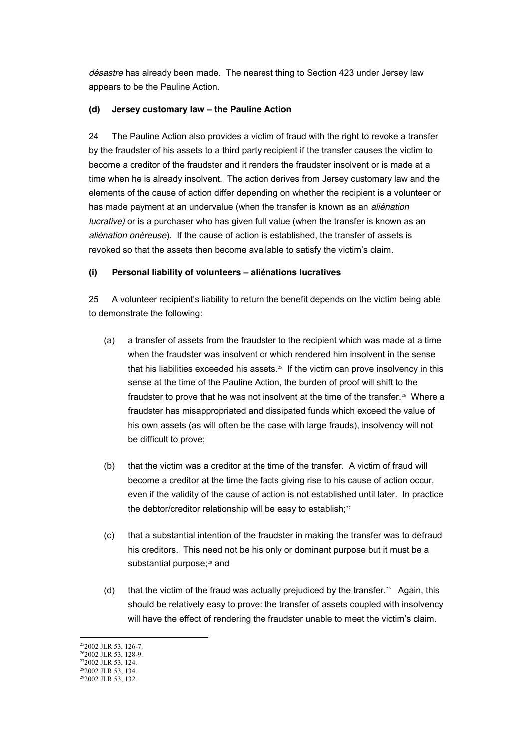*désastre* has already been made. The nearest thing to Section 423 under Jersey law appears to be the Pauline Action.

# **(d) Jersey customary law – the Pauline Action**

24 The Pauline Action also provides a victim of fraud with the right to revoke a transfer by the fraudster of his assets to a third party recipient if the transfer causes the victim to become a creditor of the fraudster and it renders the fraudster insolvent or is made at a time when he is already insolvent. The action derives from Jersey customary law and the elements of the cause of action differ depending on whether the recipient is a volunteer or has made payment at an undervalue (when the transfer is known as an *aliénation lucrative)* or is a purchaser who has given full value (when the transfer is known as an *aliénation onéreuse*). If the cause of action is established, the transfer of assets is revoked so that the assets then become available to satisfy the victim's claim.

# **(i) Personal liability of volunteers – aliénations lucratives**

25 A volunteer recipient's liability to return the benefit depends on the victim being able to demonstrate the following:

- (a) a transfer of assets from the fraudster to the recipient which was made at a time when the fraudster was insolvent or which rendered him insolvent in the sense that his liabilities exceeded his assets.<sup>25</sup> If the victim can prove insolvency in this sense at the time of the Pauline Action, the burden of proof will shift to the fraudster to prove that he was not insolvent at the time of the transfer.26 Where a fraudster has misappropriated and dissipated funds which exceed the value of his own assets (as will often be the case with large frauds), insolvency will not be difficult to prove;
- (b) that the victim was a creditor at the time of the transfer. A victim of fraud will become a creditor at the time the facts giving rise to his cause of action occur, even if the validity of the cause of action is not established until later. In practice the debtor/creditor relationship will be easy to establish;<sup>27</sup>
- (c) that a substantial intention of the fraudster in making the transfer was to defraud his creditors. This need not be his only or dominant purpose but it must be a substantial purpose;<sup>28</sup> and
- (d) that the victim of the fraud was actually prejudiced by the transfer.<sup>29</sup> Again, this should be relatively easy to prove: the transfer of assets coupled with insolvency will have the effect of rendering the fraudster unable to meet the victim's claim.

<sup>&</sup>lt;sup>25</sup>2002 JLR 53, 126-7.

<sup>&</sup>lt;sup>26</sup>2002 JLR 53, 128-9.

<sup>272002</sup> JLR 53, 124. <sup>28</sup>2002 JLR 53, 134.

 $292002$  JLR 53, 132.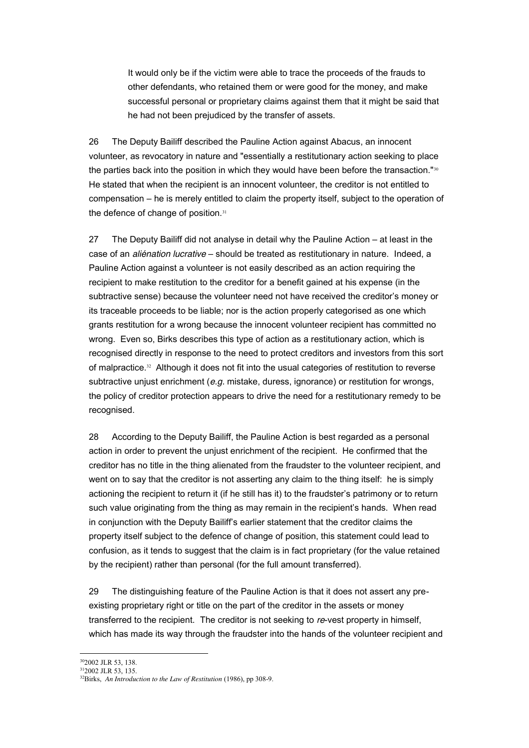It would only be if the victim were able to trace the proceeds of the frauds to other defendants, who retained them or were good for the money, and make successful personal or proprietary claims against them that it might be said that he had not been prejudiced by the transfer of assets.

26 The Deputy Bailiff described the Pauline Action against Abacus, an innocent volunteer, as revocatory in nature and "essentially a restitutionary action seeking to place the parties back into the position in which they would have been before the transaction."<sup>30</sup> He stated that when the recipient is an innocent volunteer, the creditor is not entitled to compensation – he is merely entitled to claim the property itself, subject to the operation of the defence of change of position.<sup>31</sup>

27 The Deputy Bailiff did not analyse in detail why the Pauline Action – at least in the case of an *aliénation lucrative* – should be treated as restitutionary in nature. Indeed, a Pauline Action against a volunteer is not easily described as an action requiring the recipient to make restitution to the creditor for a benefit gained at his expense (in the subtractive sense) because the volunteer need not have received the creditor's money or its traceable proceeds to be liable; nor is the action properly categorised as one which grants restitution for a wrong because the innocent volunteer recipient has committed no wrong. Even so, Birks describes this type of action as a restitutionary action, which is recognised directly in response to the need to protect creditors and investors from this sort of malpractice.<sup>32</sup> Although it does not fit into the usual categories of restitution to reverse subtractive unjust enrichment (*e.g.* mistake, duress, ignorance) or restitution for wrongs, the policy of creditor protection appears to drive the need for a restitutionary remedy to be recognised.

28 According to the Deputy Bailiff, the Pauline Action is best regarded as a personal action in order to prevent the unjust enrichment of the recipient. He confirmed that the creditor has no title in the thing alienated from the fraudster to the volunteer recipient, and went on to say that the creditor is not asserting any claim to the thing itself: he is simply actioning the recipient to return it (if he still has it) to the fraudster's patrimony or to return such value originating from the thing as may remain in the recipient's hands. When read in conjunction with the Deputy Bailiff's earlier statement that the creditor claims the property itself subject to the defence of change of position, this statement could lead to confusion, as it tends to suggest that the claim is in fact proprietary (for the value retained by the recipient) rather than personal (for the full amount transferred).

29 The distinguishing feature of the Pauline Action is that it does not assert any preexisting proprietary right or title on the part of the creditor in the assets or money transferred to the recipient. The creditor is not seeking to *re*-vest property in himself, which has made its way through the fraudster into the hands of the volunteer recipient and

 <sup>302002</sup> JLR 53, 138.

<sup>312002</sup> JLR 53, 135.

<sup>32</sup>Birks, *An Introduction to the Law of Restitution* (1986), pp 308-9.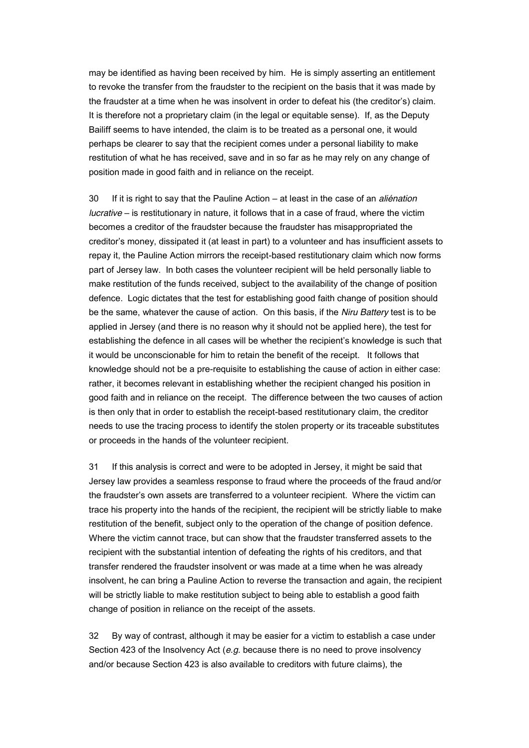may be identified as having been received by him. He is simply asserting an entitlement to revoke the transfer from the fraudster to the recipient on the basis that it was made by the fraudster at a time when he was insolvent in order to defeat his (the creditor's) claim. It is therefore not a proprietary claim (in the legal or equitable sense). If, as the Deputy Bailiff seems to have intended, the claim is to be treated as a personal one, it would perhaps be clearer to say that the recipient comes under a personal liability to make restitution of what he has received, save and in so far as he may rely on any change of position made in good faith and in reliance on the receipt.

30 If it is right to say that the Pauline Action – at least in the case of an *aliénation lucrative* – is restitutionary in nature, it follows that in a case of fraud, where the victim becomes a creditor of the fraudster because the fraudster has misappropriated the creditor's money, dissipated it (at least in part) to a volunteer and has insufficient assets to repay it, the Pauline Action mirrors the receipt-based restitutionary claim which now forms part of Jersey law. In both cases the volunteer recipient will be held personally liable to make restitution of the funds received, subject to the availability of the change of position defence. Logic dictates that the test for establishing good faith change of position should be the same, whatever the cause of action. On this basis, if the *Niru Battery* test is to be applied in Jersey (and there is no reason why it should not be applied here), the test for establishing the defence in all cases will be whether the recipient's knowledge is such that it would be unconscionable for him to retain the benefit of the receipt. It follows that knowledge should not be a pre-requisite to establishing the cause of action in either case: rather, it becomes relevant in establishing whether the recipient changed his position in good faith and in reliance on the receipt. The difference between the two causes of action is then only that in order to establish the receipt-based restitutionary claim, the creditor needs to use the tracing process to identify the stolen property or its traceable substitutes or proceeds in the hands of the volunteer recipient.

31 If this analysis is correct and were to be adopted in Jersey, it might be said that Jersey law provides a seamless response to fraud where the proceeds of the fraud and/or the fraudster's own assets are transferred to a volunteer recipient. Where the victim can trace his property into the hands of the recipient, the recipient will be strictly liable to make restitution of the benefit, subject only to the operation of the change of position defence. Where the victim cannot trace, but can show that the fraudster transferred assets to the recipient with the substantial intention of defeating the rights of his creditors, and that transfer rendered the fraudster insolvent or was made at a time when he was already insolvent, he can bring a Pauline Action to reverse the transaction and again, the recipient will be strictly liable to make restitution subject to being able to establish a good faith change of position in reliance on the receipt of the assets.

32 By way of contrast, although it may be easier for a victim to establish a case under Section 423 of the Insolvency Act (*e.g.* because there is no need to prove insolvency and/or because Section 423 is also available to creditors with future claims), the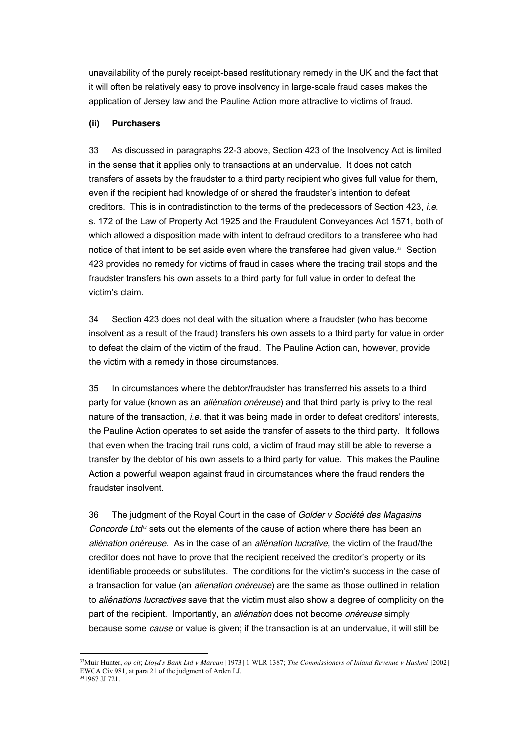unavailability of the purely receipt-based restitutionary remedy in the UK and the fact that it will often be relatively easy to prove insolvency in large-scale fraud cases makes the application of Jersey law and the Pauline Action more attractive to victims of fraud.

## **(ii) Purchasers**

33 As discussed in paragraphs 22-3 above, Section 423 of the Insolvency Act is limited in the sense that it applies only to transactions at an undervalue. It does not catch transfers of assets by the fraudster to a third party recipient who gives full value for them, even if the recipient had knowledge of or shared the fraudster's intention to defeat creditors. This is in contradistinction to the terms of the predecessors of Section 423, *i.e*. s. 172 of the Law of Property Act 1925 and the Fraudulent Conveyances Act 1571, both of which allowed a disposition made with intent to defraud creditors to a transferee who had notice of that intent to be set aside even where the transferee had given value.<sup>33</sup> Section 423 provides no remedy for victims of fraud in cases where the tracing trail stops and the fraudster transfers his own assets to a third party for full value in order to defeat the victim's claim.

34 Section 423 does not deal with the situation where a fraudster (who has become insolvent as a result of the fraud) transfers his own assets to a third party for value in order to defeat the claim of the victim of the fraud. The Pauline Action can, however, provide the victim with a remedy in those circumstances.

35 In circumstances where the debtor/fraudster has transferred his assets to a third party for value (known as an *aliénation onéreuse*) and that third party is privy to the real nature of the transaction, *i.e.* that it was being made in order to defeat creditors' interests, the Pauline Action operates to set aside the transfer of assets to the third party. It follows that even when the tracing trail runs cold, a victim of fraud may still be able to reverse a transfer by the debtor of his own assets to a third party for value. This makes the Pauline Action a powerful weapon against fraud in circumstances where the fraud renders the fraudster insolvent.

36 The judgment of the Royal Court in the case of *Golder v Société des Magasins Concorde Ltd<sup>34</sup>* sets out the elements of the cause of action where there has been an *aliénation onéreuse*. As in the case of an *aliénation lucrative*, the victim of the fraud/the creditor does not have to prove that the recipient received the creditor's property or its identifiable proceeds or substitutes. The conditions for the victim's success in the case of a transaction for value (an *alienation onéreuse*) are the same as those outlined in relation to *aliénations lucractives* save that the victim must also show a degree of complicity on the part of the recipient. Importantly, an *aliénation* does not become *onéreuse* simply because some *cause* or value is given; if the transaction is at an undervalue, it will still be

 <sup>33</sup>Muir Hunter, *op cit*; *Lloyd's Bank Ltd v Marcan* [1973] 1 WLR 1387; *The Commissioners of Inland Revenue v Hashmi* [2002] EWCA Civ 981, at para 21 of the judgment of Arden LJ. 341967 JJ 721.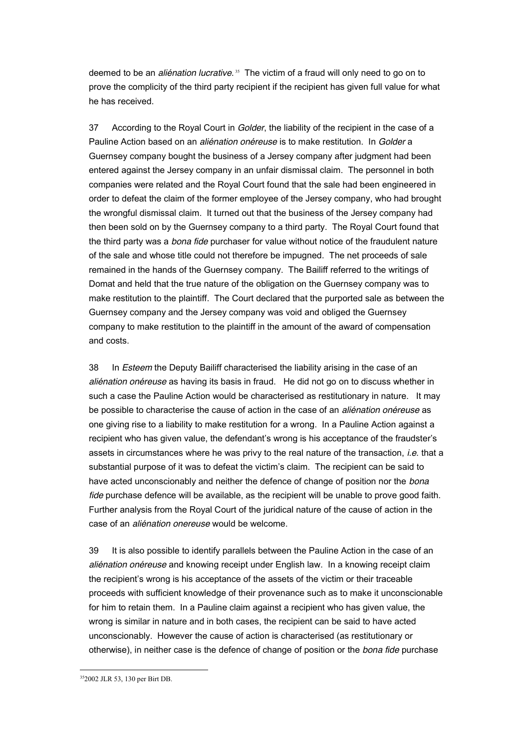deemed to be an *aliénation lucrative*. <sup>35</sup>The victim of a fraud will only need to go on to prove the complicity of the third party recipient if the recipient has given full value for what he has received.

37 According to the Royal Court in *Golder*, the liability of the recipient in the case of a Pauline Action based on an *aliénation onéreuse* is to make restitution. In *Golder* a Guernsey company bought the business of a Jersey company after judgment had been entered against the Jersey company in an unfair dismissal claim. The personnel in both companies were related and the Royal Court found that the sale had been engineered in order to defeat the claim of the former employee of the Jersey company, who had brought the wrongful dismissal claim. It turned out that the business of the Jersey company had then been sold on by the Guernsey company to a third party. The Royal Court found that the third party was a *bona fide* purchaser for value without notice of the fraudulent nature of the sale and whose title could not therefore be impugned. The net proceeds of sale remained in the hands of the Guernsey company. The Bailiff referred to the writings of Domat and held that the true nature of the obligation on the Guernsey company was to make restitution to the plaintiff. The Court declared that the purported sale as between the Guernsey company and the Jersey company was void and obliged the Guernsey company to make restitution to the plaintiff in the amount of the award of compensation and costs.

38 In *Esteem* the Deputy Bailiff characterised the liability arising in the case of an *aliénation onéreuse* as having its basis in fraud. He did not go on to discuss whether in such a case the Pauline Action would be characterised as restitutionary in nature. It may be possible to characterise the cause of action in the case of an *aliénation onéreuse* as one giving rise to a liability to make restitution for a wrong. In a Pauline Action against a recipient who has given value, the defendant's wrong is his acceptance of the fraudster's assets in circumstances where he was privy to the real nature of the transaction, *i.e*. that a substantial purpose of it was to defeat the victim's claim. The recipient can be said to have acted unconscionably and neither the defence of change of position nor the *bona fide* purchase defence will be available, as the recipient will be unable to prove good faith. Further analysis from the Royal Court of the juridical nature of the cause of action in the case of an *aliénation onereuse* would be welcome.

39 It is also possible to identify parallels between the Pauline Action in the case of an *aliénation onéreuse* and knowing receipt under English law. In a knowing receipt claim the recipient's wrong is his acceptance of the assets of the victim or their traceable proceeds with sufficient knowledge of their provenance such as to make it unconscionable for him to retain them. In a Pauline claim against a recipient who has given value, the wrong is similar in nature and in both cases, the recipient can be said to have acted unconscionably. However the cause of action is characterised (as restitutionary or otherwise), in neither case is the defence of change of position or the *bona fide* purchase

 <sup>352002</sup> JLR 53, 130 per Birt DB.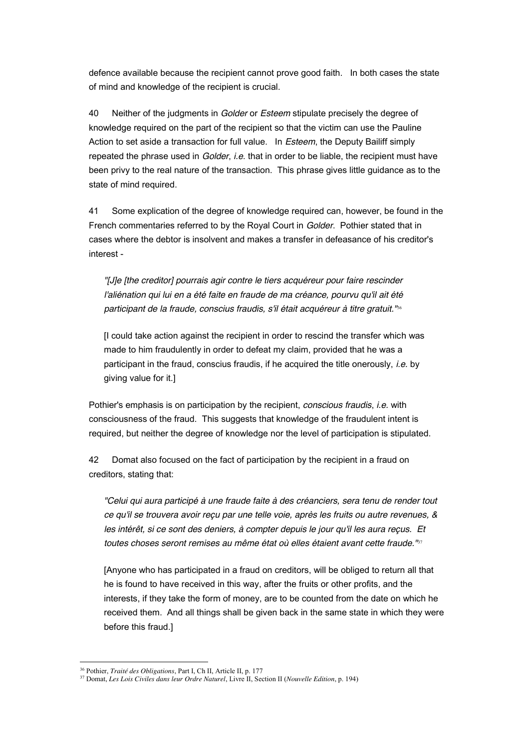defence available because the recipient cannot prove good faith. In both cases the state of mind and knowledge of the recipient is crucial.

40 Neither of the judgments in *Golder* or *Esteem* stipulate precisely the degree of knowledge required on the part of the recipient so that the victim can use the Pauline Action to set aside a transaction for full value. In *Esteem*, the Deputy Bailiff simply repeated the phrase used in *Golder*, *i.e*. that in order to be liable, the recipient must have been privy to the real nature of the transaction. This phrase gives little guidance as to the state of mind required.

41 Some explication of the degree of knowledge required can, however, be found in the French commentaries referred to by the Royal Court in *Golder*. Pothier stated that in cases where the debtor is insolvent and makes a transfer in defeasance of his creditor's interest -

*"[J]e [the creditor] pourrais agir contre le tiers acquéreur pour faire rescinder l'aliénation qui lui en a été faite en fraude de ma créance, pourvu qu'il ait été participant de la fraude, conscius fraudis, s'il était acquéreur à titre gratuit."*<sup>36</sup>

[I could take action against the recipient in order to rescind the transfer which was made to him fraudulently in order to defeat my claim, provided that he was a participant in the fraud, conscius fraudis, if he acquired the title onerously, *i.e.* by giving value for it.]

Pothier's emphasis is on participation by the recipient, *conscious fraudis*, *i.e.* with consciousness of the fraud. This suggests that knowledge of the fraudulent intent is required, but neither the degree of knowledge nor the level of participation is stipulated.

42 Domat also focused on the fact of participation by the recipient in a fraud on creditors, stating that:

*"Celui qui aura participé à une fraude faite à des créanciers, sera tenu de render tout ce qu'il se trouvera avoir reçu par une telle voie, après les fruits ou autre revenues, & les intérêt, si ce sont des deniers, à compter depuis le jour qu'il les aura reçus. Et toutes choses seront remises au même état où elles étaient avant cette fraude."*<sup>37</sup>

[Anyone who has participated in a fraud on creditors, will be obliged to return all that he is found to have received in this way, after the fruits or other profits, and the interests, if they take the form of money, are to be counted from the date on which he received them. And all things shall be given back in the same state in which they were before this fraud.]

 <sup>36</sup> Pothier, *Traité des Obligations*, Part I, Ch II, Article II, p. 177

<sup>37</sup> Domat, *Les Lois Civiles dans leur Ordre Naturel*, Livre II, Section II (*Nouvelle Edition*, p. 194)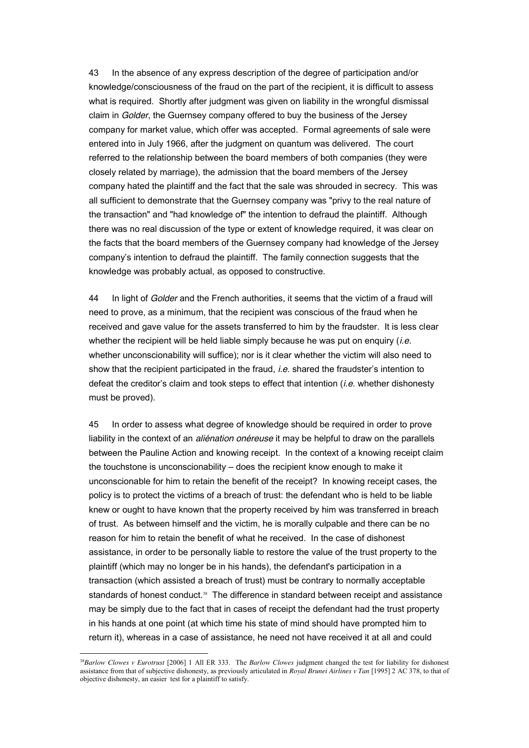43 In the absence of any express description of the degree of participation and/or knowledge/consciousness of the fraud on the part of the recipient, it is difficult to assess what is required. Shortly after judgment was given on liability in the wrongful dismissal claim in *Golder*, the Guernsey company offered to buy the business of the Jersey company for market value, which offer was accepted. Formal agreements of sale were entered into in July 1966, after the judgment on quantum was delivered. The court referred to the relationship between the board members of both companies (they were closely related by marriage), the admission that the board members of the Jersey company hated the plaintiff and the fact that the sale was shrouded in secrecy. This was all sufficient to demonstrate that the Guernsey company was "privy to the real nature of the transaction" and "had knowledge of" the intention to defraud the plaintiff. Although there was no real discussion of the type or extent of knowledge required, it was clear on the facts that the board members of the Guernsey company had knowledge of the Jersey company's intention to defraud the plaintiff. The family connection suggests that the knowledge was probably actual, as opposed to constructive.

44 In light of *Golder* and the French authorities, it seems that the victim of a fraud will need to prove, as a minimum, that the recipient was conscious of the fraud when he received and gave value for the assets transferred to him by the fraudster. It is less clear whether the recipient will be held liable simply because he was put on enquiry (*i.e.* whether unconscionability will suffice); nor is it clear whether the victim will also need to show that the recipient participated in the fraud, *i.e*. shared the fraudster's intention to defeat the creditor's claim and took steps to effect that intention (*i.e*. whether dishonesty must be proved).

45 In order to assess what degree of knowledge should be required in order to prove liability in the context of an *aliénation onéreuse* it may be helpful to draw on the parallels between the Pauline Action and knowing receipt. In the context of a knowing receipt claim the touchstone is unconscionability – does the recipient know enough to make it unconscionable for him to retain the benefit of the receipt? In knowing receipt cases, the policy is to protect the victims of a breach of trust: the defendant who is held to be liable knew or ought to have known that the property received by him was transferred in breach of trust. As between himself and the victim, he is morally culpable and there can be no reason for him to retain the benefit of what he received. In the case of dishonest assistance, in order to be personally liable to restore the value of the trust property to the plaintiff (which may no longer be in his hands), the defendant's participation in a transaction (which assisted a breach of trust) must be contrary to normally acceptable standards of honest conduct.<sup>38</sup> The difference in standard between receipt and assistance may be simply due to the fact that in cases of receipt the defendant had the trust property in his hands at one point (at which time his state of mind should have prompted him to return it), whereas in a case of assistance, he need not have received it at all and could

 <sup>38</sup>*Barlow Clowes v Eurotrust* [2006] 1 All ER 333. The *Barlow Clowes* judgment changed the test for liability for dishonest assistance from that of subjective dishonesty, as previously articulated in *Royal Brunei Airlines v Tan* [1995] 2 AC 378, to that of objective dishonesty, an easier test for a plaintiff to satisfy.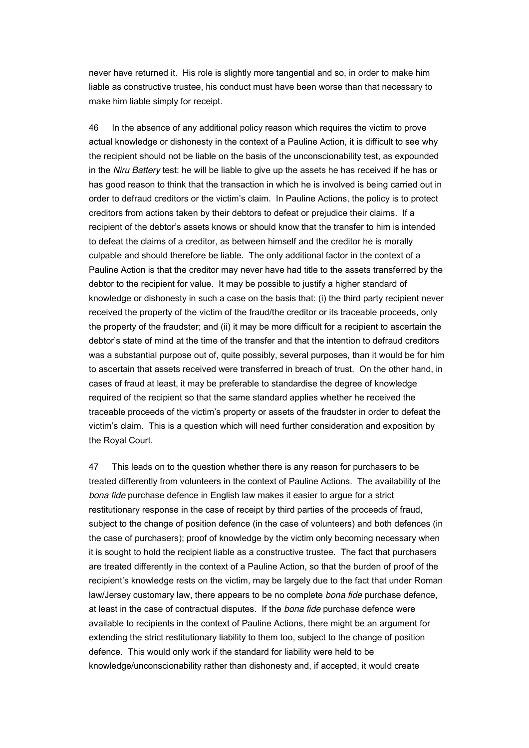never have returned it. His role is slightly more tangential and so, in order to make him liable as constructive trustee, his conduct must have been worse than that necessary to make him liable simply for receipt.

46 In the absence of any additional policy reason which requires the victim to prove actual knowledge or dishonesty in the context of a Pauline Action, it is difficult to see why the recipient should not be liable on the basis of the unconscionability test, as expounded in the *Niru Battery* test: he will be liable to give up the assets he has received if he has or has good reason to think that the transaction in which he is involved is being carried out in order to defraud creditors or the victim's claim. In Pauline Actions, the policy is to protect creditors from actions taken by their debtors to defeat or prejudice their claims. If a recipient of the debtor's assets knows or should know that the transfer to him is intended to defeat the claims of a creditor, as between himself and the creditor he is morally culpable and should therefore be liable. The only additional factor in the context of a Pauline Action is that the creditor may never have had title to the assets transferred by the debtor to the recipient for value. It may be possible to justify a higher standard of knowledge or dishonesty in such a case on the basis that: (i) the third party recipient never received the property of the victim of the fraud/the creditor or its traceable proceeds, only the property of the fraudster; and (ii) it may be more difficult for a recipient to ascertain the debtor's state of mind at the time of the transfer and that the intention to defraud creditors was a substantial purpose out of, quite possibly, several purposes, than it would be for him to ascertain that assets received were transferred in breach of trust. On the other hand, in cases of fraud at least, it may be preferable to standardise the degree of knowledge required of the recipient so that the same standard applies whether he received the traceable proceeds of the victim's property or assets of the fraudster in order to defeat the victim's claim. This is a question which will need further consideration and exposition by the Royal Court.

47 This leads on to the question whether there is any reason for purchasers to be treated differently from volunteers in the context of Pauline Actions. The availability of the *bona fide* purchase defence in English law makes it easier to argue for a strict restitutionary response in the case of receipt by third parties of the proceeds of fraud, subject to the change of position defence (in the case of volunteers) and both defences (in the case of purchasers); proof of knowledge by the victim only becoming necessary when it is sought to hold the recipient liable as a constructive trustee. The fact that purchasers are treated differently in the context of a Pauline Action, so that the burden of proof of the recipient's knowledge rests on the victim, may be largely due to the fact that under Roman law/Jersey customary law, there appears to be no complete *bona fide* purchase defence, at least in the case of contractual disputes. If the *bona fide* purchase defence were available to recipients in the context of Pauline Actions, there might be an argument for extending the strict restitutionary liability to them too, subject to the change of position defence. This would only work if the standard for liability were held to be knowledge/unconscionability rather than dishonesty and, if accepted, it would create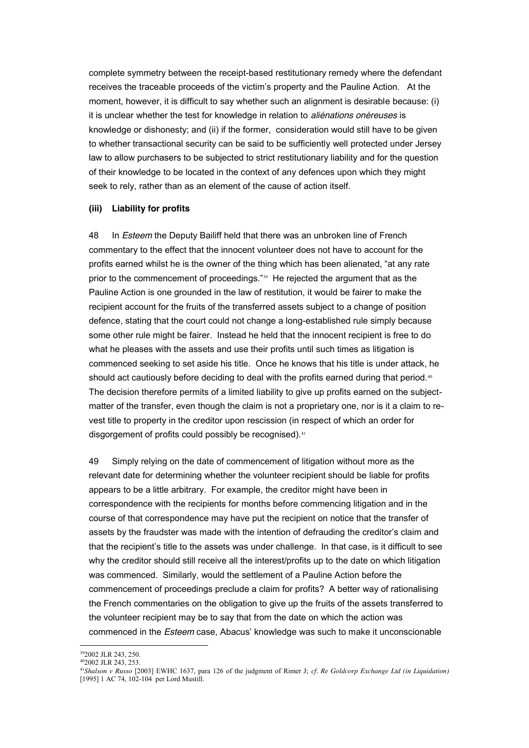complete symmetry between the receipt-based restitutionary remedy where the defendant receives the traceable proceeds of the victim's property and the Pauline Action. At the moment, however, it is difficult to say whether such an alignment is desirable because: (i) it is unclear whether the test for knowledge in relation to *aliénations onéreuses* is knowledge or dishonesty; and (ii) if the former, consideration would still have to be given to whether transactional security can be said to be sufficiently well protected under Jersey law to allow purchasers to be subjected to strict restitutionary liability and for the question of their knowledge to be located in the context of any defences upon which they might seek to rely, rather than as an element of the cause of action itself.

## **(iii) Liability for profits**

48 In *Esteem* the Deputy Bailiff held that there was an unbroken line of French commentary to the effect that the innocent volunteer does not have to account for the profits earned whilst he is the owner of the thing which has been alienated, "at any rate prior to the commencement of proceedings."39 He rejected the argument that as the Pauline Action is one grounded in the law of restitution, it would be fairer to make the recipient account for the fruits of the transferred assets subject to a change of position defence, stating that the court could not change a long-established rule simply because some other rule might be fairer. Instead he held that the innocent recipient is free to do what he pleases with the assets and use their profits until such times as litigation is commenced seeking to set aside his title. Once he knows that his title is under attack, he should act cautiously before deciding to deal with the profits earned during that period.<sup>40</sup> The decision therefore permits of a limited liability to give up profits earned on the subjectmatter of the transfer, even though the claim is not a proprietary one, nor is it a claim to revest title to property in the creditor upon rescission (in respect of which an order for disgorgement of profits could possibly be recognised).<sup>41</sup>

49 Simply relying on the date of commencement of litigation without more as the relevant date for determining whether the volunteer recipient should be liable for profits appears to be a little arbitrary. For example, the creditor might have been in correspondence with the recipients for months before commencing litigation and in the course of that correspondence may have put the recipient on notice that the transfer of assets by the fraudster was made with the intention of defrauding the creditor's claim and that the recipient's title to the assets was under challenge. In that case, is it difficult to see why the creditor should still receive all the interest/profits up to the date on which litigation was commenced. Similarly, would the settlement of a Pauline Action before the commencement of proceedings preclude a claim for profits? A better way of rationalising the French commentaries on the obligation to give up the fruits of the assets transferred to the volunteer recipient may be to say that from the date on which the action was commenced in the *Esteem* case, Abacus' knowledge was such to make it unconscionable

 $392002$  JLR 243, 250.

<sup>402002</sup> JLR 243, 253.

<sup>41</sup>*Shalson v Russo* [2003] EWHC 1637, para 126 of the judgment of Rimer J; *cf. Re Goldcorp Exchange Ltd (in Liquidation)*  [1995] 1 AC 74, 102-104 per Lord Mustill.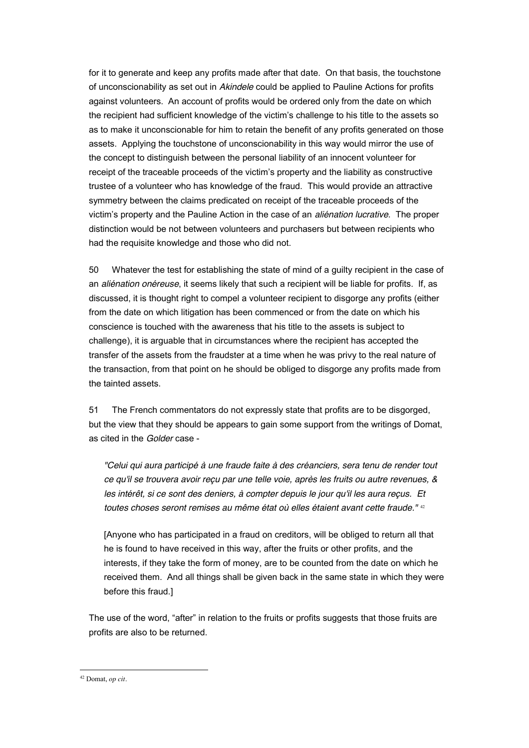for it to generate and keep any profits made after that date. On that basis, the touchstone of unconscionability as set out in *Akindele* could be applied to Pauline Actions for profits against volunteers. An account of profits would be ordered only from the date on which the recipient had sufficient knowledge of the victim's challenge to his title to the assets so as to make it unconscionable for him to retain the benefit of any profits generated on those assets. Applying the touchstone of unconscionability in this way would mirror the use of the concept to distinguish between the personal liability of an innocent volunteer for receipt of the traceable proceeds of the victim's property and the liability as constructive trustee of a volunteer who has knowledge of the fraud. This would provide an attractive symmetry between the claims predicated on receipt of the traceable proceeds of the victim's property and the Pauline Action in the case of an *aliénation lucrative*. The proper distinction would be not between volunteers and purchasers but between recipients who had the requisite knowledge and those who did not.

50 Whatever the test for establishing the state of mind of a guilty recipient in the case of an *aliénation onéreuse*, it seems likely that such a recipient will be liable for profits. If, as discussed, it is thought right to compel a volunteer recipient to disgorge any profits (either from the date on which litigation has been commenced or from the date on which his conscience is touched with the awareness that his title to the assets is subject to challenge), it is arguable that in circumstances where the recipient has accepted the transfer of the assets from the fraudster at a time when he was privy to the real nature of the transaction, from that point on he should be obliged to disgorge any profits made from the tainted assets.

51 The French commentators do not expressly state that profits are to be disgorged, but the view that they should be appears to gain some support from the writings of Domat, as cited in the *Golder* case -

*"Celui qui aura participé à une fraude faite à des créanciers, sera tenu de render tout ce qu'il se trouvera avoir reçu par une telle voie, après les fruits ou autre revenues, & les intérêt, si ce sont des deniers, à compter depuis le jour qu'il les aura reçus. Et toutes choses seront remises au même état où elles étaient avant cette fraude."* <sup>42</sup>

[Anyone who has participated in a fraud on creditors, will be obliged to return all that he is found to have received in this way, after the fruits or other profits, and the interests, if they take the form of money, are to be counted from the date on which he received them. And all things shall be given back in the same state in which they were before this fraud.]

The use of the word, "after" in relation to the fruits or profits suggests that those fruits are profits are also to be returned.

 <sup>42</sup> Domat, *op cit.*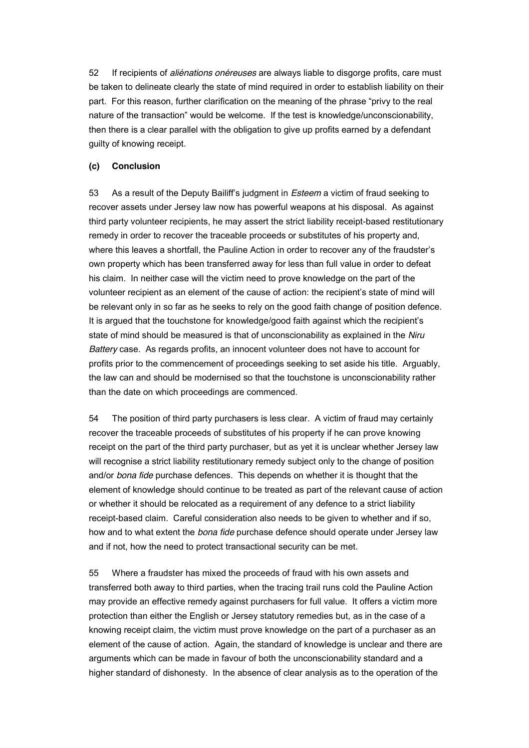52 If recipients of *aliénations onéreuses* are always liable to disgorge profits, care must be taken to delineate clearly the state of mind required in order to establish liability on their part. For this reason, further clarification on the meaning of the phrase "privy to the real nature of the transaction" would be welcome. If the test is knowledge/unconscionability, then there is a clear parallel with the obligation to give up profits earned by a defendant guilty of knowing receipt.

## **(c) Conclusion**

53 As a result of the Deputy Bailiff's judgment in *Esteem* a victim of fraud seeking to recover assets under Jersey law now has powerful weapons at his disposal. As against third party volunteer recipients, he may assert the strict liability receipt-based restitutionary remedy in order to recover the traceable proceeds or substitutes of his property and, where this leaves a shortfall, the Pauline Action in order to recover any of the fraudster's own property which has been transferred away for less than full value in order to defeat his claim. In neither case will the victim need to prove knowledge on the part of the volunteer recipient as an element of the cause of action: the recipient's state of mind will be relevant only in so far as he seeks to rely on the good faith change of position defence. It is argued that the touchstone for knowledge/good faith against which the recipient's state of mind should be measured is that of unconscionability as explained in the *Niru Battery* case. As regards profits, an innocent volunteer does not have to account for profits prior to the commencement of proceedings seeking to set aside his title. Arguably, the law can and should be modernised so that the touchstone is unconscionability rather than the date on which proceedings are commenced.

54 The position of third party purchasers is less clear. A victim of fraud may certainly recover the traceable proceeds of substitutes of his property if he can prove knowing receipt on the part of the third party purchaser, but as yet it is unclear whether Jersey law will recognise a strict liability restitutionary remedy subject only to the change of position and/or *bona fide* purchase defences. This depends on whether it is thought that the element of knowledge should continue to be treated as part of the relevant cause of action or whether it should be relocated as a requirement of any defence to a strict liability receipt-based claim. Careful consideration also needs to be given to whether and if so, how and to what extent the *bona fide* purchase defence should operate under Jersey law and if not, how the need to protect transactional security can be met.

55 Where a fraudster has mixed the proceeds of fraud with his own assets and transferred both away to third parties, when the tracing trail runs cold the Pauline Action may provide an effective remedy against purchasers for full value. It offers a victim more protection than either the English or Jersey statutory remedies but, as in the case of a knowing receipt claim, the victim must prove knowledge on the part of a purchaser as an element of the cause of action. Again, the standard of knowledge is unclear and there are arguments which can be made in favour of both the unconscionability standard and a higher standard of dishonesty. In the absence of clear analysis as to the operation of the